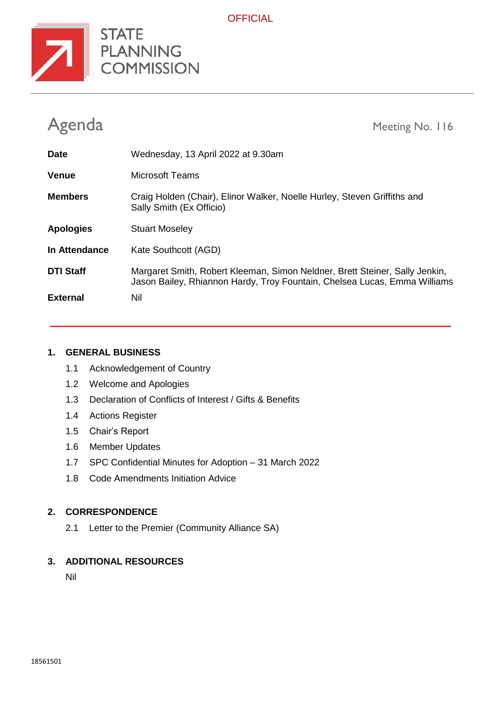

**OFFICIAL** 

| Agenda           |                                                                                                                                                          | Meeting No. 116 |
|------------------|----------------------------------------------------------------------------------------------------------------------------------------------------------|-----------------|
| <b>Date</b>      | Wednesday, 13 April 2022 at 9.30am                                                                                                                       |                 |
| Venue            | Microsoft Teams                                                                                                                                          |                 |
| <b>Members</b>   | Craig Holden (Chair), Elinor Walker, Noelle Hurley, Steven Griffiths and<br>Sally Smith (Ex Officio)                                                     |                 |
| <b>Apologies</b> | <b>Stuart Moseley</b>                                                                                                                                    |                 |
| In Attendance    | Kate Southcott (AGD)                                                                                                                                     |                 |
| <b>DTI Staff</b> | Margaret Smith, Robert Kleeman, Simon Neldner, Brett Steiner, Sally Jenkin,<br>Jason Bailey, Rhiannon Hardy, Troy Fountain, Chelsea Lucas, Emma Williams |                 |
| <b>External</b>  | Nil                                                                                                                                                      |                 |

#### **1. GENERAL BUSINESS**

- 1.1 Acknowledgement of Country
- 1.2 Welcome and Apologies
- 1.3 Declaration of Conflicts of Interest / Gifts & Benefits
- 1.4 Actions Register
- 1.5 Chair's Report
- 1.6 Member Updates
- 1.7 SPC Confidential Minutes for Adoption 31 March 2022
- 1.8 Code Amendments Initiation Advice

## **2. CORRESPONDENCE**

2.1 Letter to the Premier (Community Alliance SA)

### **3. ADDITIONAL RESOURCES**

Nil